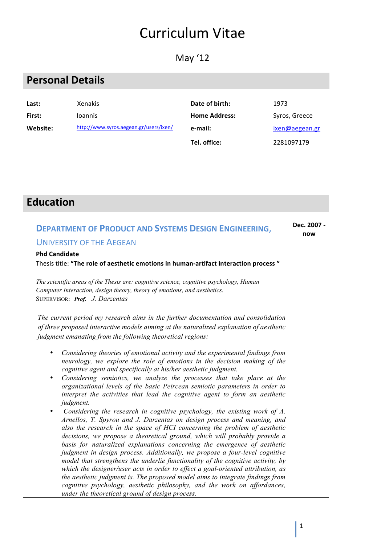# Curriculum Vitae

May '12

## **Personal Details**

| Last:    | <b>Xenakis</b>                         | Date of birth:       | 1973           |
|----------|----------------------------------------|----------------------|----------------|
| First:   | <b>Ioannis</b>                         | <b>Home Address:</b> | Syros, Greece  |
| Website: | http://www.syros.aegean.gr/users/ixen/ | e-mail:              | ixen@aegean.gr |
|          |                                        | Tel. office:         | 2281097179     |

### **Education**

### **DEPARTMENT OF PRODUCT AND SYSTEMS DESIGN ENGINEERING.** UNIVERSITY OF THE AFGEAN

#### **Dec. 2007 now**

#### **Phd Candidate**

Thesis title: "The role of aesthetic emotions in human-artifact interaction process"

*The scientific areas of the Thesis are: cognitive science, cognitive psychology, Human Computer Interaction, design theory, theory of emotions, and aesthetics.* SUPERVISOR: *Prof. J. Darzentas*

*The current period my research aims in the further documentation and consolidation of three proposed interactive models aiming at the naturalized explanation of aesthetic judgment emanating from the following theoretical regions:*

- *Considering theories of emotional activity and the experimental findings from neurology, we explore the role of emotions in the decision making of the cognitive agent and specifically at his/her aesthetic judgment.*
- *Considering semiotics, we analyze the processes that take place at the organizational levels of the basic Peircean semiotic parameters in order to interpret the activities that lead the cognitive agent to form an aesthetic judgment.*
- *Considering the research in cognitive psychology, the existing work of A. Arnellos, T. Spyrou and J. Darzentas on design process and meaning, and also the research in the space of HCI concerning the problem of aesthetic decisions, we propose a theoretical ground, which will probably provide a basis for naturalized explanations concerning the emergence of aesthetic judgment in design process. Additionally, we propose a four-level cognitive model that strengthens the underlie functionality of the cognitive activity, by which the designer/user acts in order to effect a goal-oriented attribution, as the aesthetic judgment is. The proposed model aims to integrate findings from cognitive psychology, aesthetic philosophy, and the work on affordances, under the theoretical ground of design process.*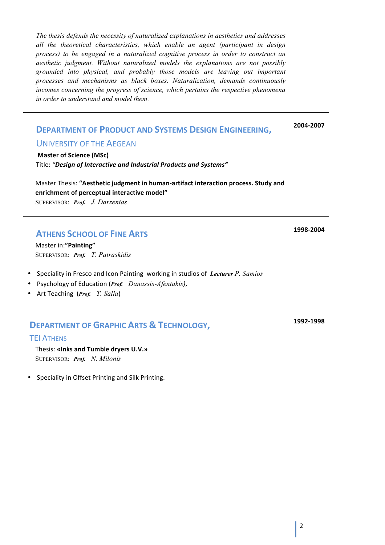*The thesis defends the necessity of naturalized explanations in aesthetics and addresses all the theoretical characteristics, which enable an agent (participant in design process) to be engaged in a naturalized cognitive process in order to construct an aesthetic judgment. Without naturalized models the explanations are not possibly grounded into physical, and probably those models are leaving out important processes and mechanisms as black boxes. Naturalization, demands continuously incomes concerning the progress of science, which pertains the respective phenomena in order to understand and model them.*

#### **DEPARTMENT OF PRODUCT AND SYSTEMS DESIGN ENGINEERING,**

**2004-2007**

#### UNIVERSITY OF THE AEGEAN

**Master of Science (MSc)** Title: "Design of Interactive and Industrial Products and Systems"

Master Thesis: "Aesthetic judgment in human-artifact interaction process. Study and **enrichment of perceptual interactive model"** SUPERVISOR: *Prof. J. Darzentas*

#### **ATHENS SCHOOL OF FINE ARTS**

Master in:**"Painting"** SUPERVISOR: *Prof. T. Patraskidis*

- **Speciality in Fresco and Icon Painting working in studios of Lecturer P. Samios**
- Psychology of Education (*Prof. Danassis*-*Afentakis)*,
- Art Teaching (*Prof. T. Salla*)

#### **DEPARTMENT OF GRAPHIC ARTS & TECHNOLOGY,**

#### ΤΕΙ ATHENS

Thesis: **«Inks and Tumble dryers U.V.»**

SUPERVISOR: *Prof. N. Milonis*

Speciality in Offset Printing and Silk Printing.

**1998-2004**

**1992-1998**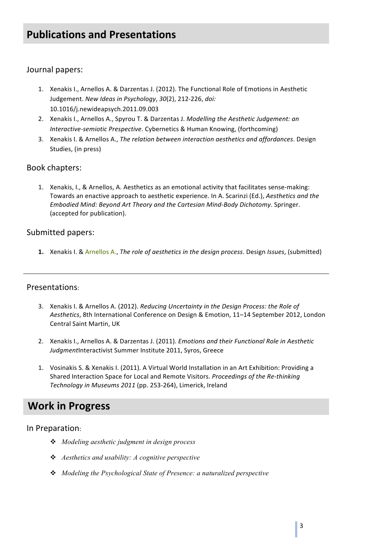## **Publications and Presentations**

#### Journal papers:

- 1. Xenakis I., Arnellos A. & Darzentas J. (2012). The Functional Role of Emotions in Aesthetic Judgement. *New Ideas in Psychology*, *30*(2), 212-226, *doi:* 10.1016/j.newideapsych.2011.09.003
- 2. Xenakis I., Arnellos A., Spyrou T. & Darzentas J. Modelling the Aesthetic Judgement: an *Interactive-semiotic Prespective*. Cybernetics & Human Knowing, (forthcoming)
- 3. Xenakis I. & Arnellos A., *The relation between interaction aesthetics and affordances*. Design Studies, (in press)

#### Book chapters:

1. Xenakis, I., & Arnellos, A. Aesthetics as an emotional activity that facilitates sense-making: Towards an enactive approach to aesthetic experience. In A. Scarinzi (Ed.), Aesthetics and the *Embodied Mind: Beyond Art Theory and the Cartesian Mind-Body Dichotomy*. Springer. (accepted for publication).

#### Submitted papers:

**1.** Xenakis I. & Arnellos A., *The role of aesthetics in the design process*. Design *Issues*, (submitted)

#### Presentations:

- 3. Xenakis I. & Arnellos A. (2012). *Reducing Uncertainty in the Design Process: the Role of* Aesthetics, 8th International Conference on Design & Emotion, 11-14 September 2012, London Central Saint Martin, UK
- 2. Xenakis I., Arnellos A. & Darzentas J. (2011). *Emotions and their Functional Role in Aesthetic* JudgmentInteractivist Summer Institute 2011, Syros, Greece
- 1. Vosinakis S. & Xenakis I. (2011). A Virtual World Installation in an Art Exhibition: Providing a Shared Interaction Space for Local and Remote Visitors. *Proceedings of the Re-thinking* Technology in Museums 2011 (pp. 253-264), Limerick, Ireland

### **Work in Progress**

#### In Preparation:

- v *Modeling aesthetic judgment in design process*
- v *Aesthetics and usability: A cognitive perspective*
- v *Modeling the Psychological State of Presence: a naturalized perspective*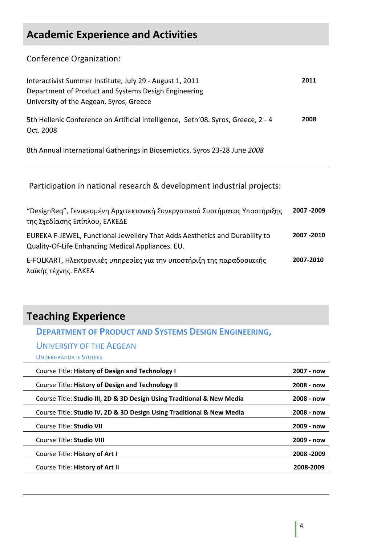## **Academic Experience and Activities**

Conference Organization:

| Interactivist Summer Institute, July 29 - August 1, 2011<br>Department of Product and Systems Design Engineering<br>University of the Aegean, Syros, Greece | 2011 |
|-------------------------------------------------------------------------------------------------------------------------------------------------------------|------|
| 5th Hellenic Conference on Artificial Intelligence, Setn'08. Syros, Greece, 2 - 4<br>Oct. 2008                                                              | 2008 |
| 8th Annual International Gatherings in Biosemiotics. Syros 23-28 June 2008                                                                                  |      |

Participation in national research & development industrial projects:

| "DesignReq", Γενικευμένη Αρχιτεκτονική Συνεργατικού Συστήματος Υποστήριξης<br>της Σχεδίασης Επίπλου, ΕΛΚΕΔΕ                      | 2007 - 2009 |
|----------------------------------------------------------------------------------------------------------------------------------|-------------|
| EUREKA F-JEWEL, Functional Jewellery That Adds Aesthetics and Durability to<br>Quality-Of-Life Enhancing Medical Appliances. EU. | 2007 - 2010 |
| E-FOLKART, Ηλεκτρονικές υπηρεσίες για την υποστήριξη της παραδοσιακής<br>λαϊκής τέχνης. ΕΛΚΕΑ                                    | 2007-2010   |

## **Teaching Experience**

**DEPARTMENT OF PRODUCT AND SYSTEMS DESIGN ENGINEERING,** 

UNIVERSITY OF THE AEGEAN

UNDERGRADUATE STUDIES

| Course Title: History of Design and Technology I                       | 2007 - now   |
|------------------------------------------------------------------------|--------------|
| Course Title: History of Design and Technology II                      | $2008 - now$ |
| Course Title: Studio III, 2D & 3D Design Using Traditional & New Media | $2008 - now$ |
| Course Title: Studio IV, 2D & 3D Design Using Traditional & New Media  | 2008 - now   |
| Course Title: Studio VII                                               | 2009 - now   |
| Course Title: Studio VIII                                              | $2009 - now$ |
| Course Title: History of Art I                                         | 2008 - 2009  |
| Course Title: History of Art II                                        | 2008-2009    |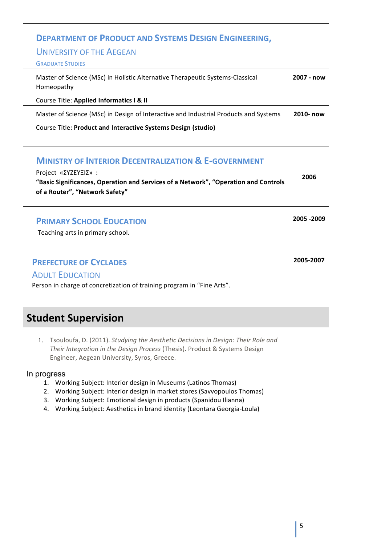#### **DEPARTMENT OF PRODUCT AND SYSTEMS DESIGN ENGINEERING,**

#### UNIVERSITY OF THE AEGEAN

#### **GRADUATE STUDIES**

| Master of Science (MSc) in Holistic Alternative Therapeutic Systems-Classical<br>Homeopathy | 2007 - now |
|---------------------------------------------------------------------------------------------|------------|
| Course Title: Applied Informatics I & II                                                    |            |
|                                                                                             |            |

Master of Science (MSc) in Design of Interactive and Industrial Products and Systems **2010- now**

Course Title: Product and Interactive Systems Design (studio)

#### **MINISTRY OF INTERIOR DECENTRALIZATION & E-GOVERNMENT**

| Project «ΣΥΖΕΥΞΙΣ»:                                                                 | 2006 |
|-------------------------------------------------------------------------------------|------|
| "Basic Significances, Operation and Services of a Network", "Operation and Controls |      |
| of a Router", "Network Safety"                                                      |      |

#### **PRIMARY SCHOOL EDUCATION**

Teaching arts in primary school.

#### **PREFECTURE OF CYCLADES**

#### **ADULT EDUCATION**

Person in charge of concretization of training program in "Fine Arts".

## **Student Supervision**

1. Tsouloufa, D. (2011). *Studying the Aesthetic Decisions in Design: Their Role and* Their Integration in the Design Process (Thesis). Product & Systems Design Engineer, Aegean University, Syros, Greece.

#### In progress

- 1. Working Subject: Interior design in Museums (Latinos Thomas)
- 2. Working Subject: Interior design in market stores (Savvopoulos Thomas)
- 3. Working Subject: Emotional design in products (Spanidou Ilianna)
- 4. Working Subject: Aesthetics in brand identity (Leontara Georgia-Loula)

**2005 -2009**

**2005-2007**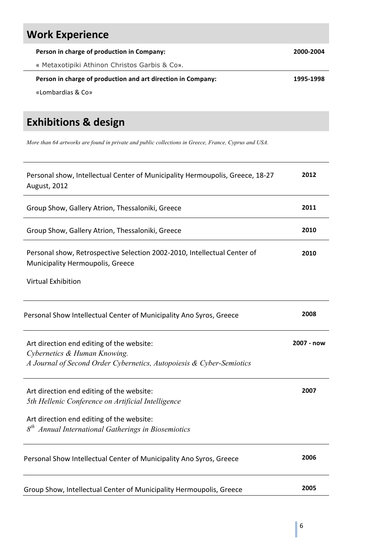# **Work Experience**

| Person in charge of production in Company:                   | 2000-2004 |
|--------------------------------------------------------------|-----------|
| « Metaxotipiki Athinon Christos Garbis & Co».                |           |
|                                                              |           |
| Person in charge of production and art direction in Company: | 1995-1998 |
| «Lombardias & Co»                                            |           |

## **Exhibitions & design**

*More than 64 artworks are found in private and public collections in Greece, France, Cyprus and USA.* 

| Personal show, Intellectual Center of Municipality Hermoupolis, Greece, 18-27<br>August, 2012                                                     | 2012       |
|---------------------------------------------------------------------------------------------------------------------------------------------------|------------|
| Group Show, Gallery Atrion, Thessaloniki, Greece                                                                                                  | 2011       |
| Group Show, Gallery Atrion, Thessaloniki, Greece                                                                                                  | 2010       |
| Personal show, Retrospective Selection 2002-2010, Intellectual Center of<br>Municipality Hermoupolis, Greece                                      | 2010       |
| <b>Virtual Exhibition</b>                                                                                                                         |            |
| Personal Show Intellectual Center of Municipality Ano Syros, Greece                                                                               | 2008       |
| Art direction end editing of the website:<br>Cybernetics & Human Knowing.<br>A Journal of Second Order Cybernetics, Autopoiesis & Cyber-Semiotics | 2007 - now |
| Art direction end editing of the website:<br>5th Hellenic Conference on Artificial Intelligence                                                   | 2007       |
| Art direction end editing of the website:<br>Annual International Gatherings in Biosemiotics                                                      |            |
| Personal Show Intellectual Center of Municipality Ano Syros, Greece                                                                               | 2006       |
| Group Show, Intellectual Center of Municipality Hermoupolis, Greece                                                                               | 2005       |